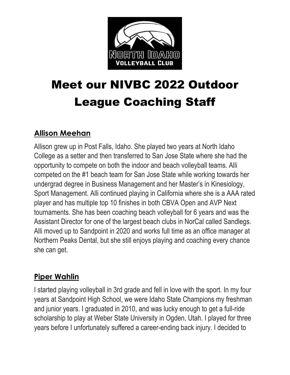

# Meet our NIVBC 2022 Outdoor League Coaching Staff

# **Allison Meehan**

Allison grew up in Post Falls, Idaho. She played two years at North Idaho College as a setter and then transferred to San Jose State where she had the opportunity to compete on both the indoor and beach volleyball teams. Alli competed on the #1 beach team for San Jose State while working towards her undergrad degree in Business Management and her Master's in Kinesiology, Sport Management. Alli continued playing in California where she is a AAA rated player and has multiple top 10 finishes in both CBVA Open and AVP Next tournaments. She has been coaching beach volleyball for 6 years and was the Assistant Director for one of the largest beach clubs in NorCal called Sandlegs. Alli moved up to Sandpoint in 2020 and works full time as an office manager at Northern Peaks Dental, but she still enjoys playing and coaching every chance she can get.

### **Piper Wahlin**

I started playing volleyball in 3rd grade and fell in love with the sport. In my four years at Sandpoint High School, we were Idaho State Champions my freshman and junior years. I graduated in 2010, and was lucky enough to get a full-ride scholarship to play at Weber State University in Ogden, Utah. I played for three years before I unfortunately suffered a career-ending back injury. I decided to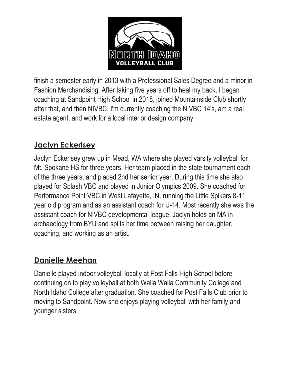

finish a semester early in 2013 with a Professional Sales Degree and a minor in Fashion Merchandising. After taking five years off to heal my back, I began coaching at Sandpoint High School in 2018, joined Mountainside Club shortly after that, and then NIVBC. I'm currently coaching the NIVBC 14's, am a real estate agent, and work for a local interior design company.

# **Jaclyn Eckerlsey**

Jaclyn Eckerlsey grew up in Mead, WA where she played varsity volleyball for Mt. Spokane HS for three years. Her team placed in the state tournament each of the three years, and placed 2nd her senior year. During this time she also played for Splash VBC and played in Junior Olympics 2009. She coached for Performance Point VBC in West Lafayette, IN, running the Little Spikers 8-11 year old program and as an assistant coach for U-14. Most recently she was the assistant coach for NIVBC developmental league. Jaclyn holds an MA in archaeology from BYU and splits her time between raising her daughter, coaching, and working as an artist.

### **Danielle Meehan**

Danielle played indoor volleyball locally at Post Falls High School before continuing on to play volleyball at both Walla Walla Community College and North Idaho College after graduation. She coached for Post Falls Club prior to moving to Sandpoint. Now she enjoys playing volleyball with her family and younger sisters.